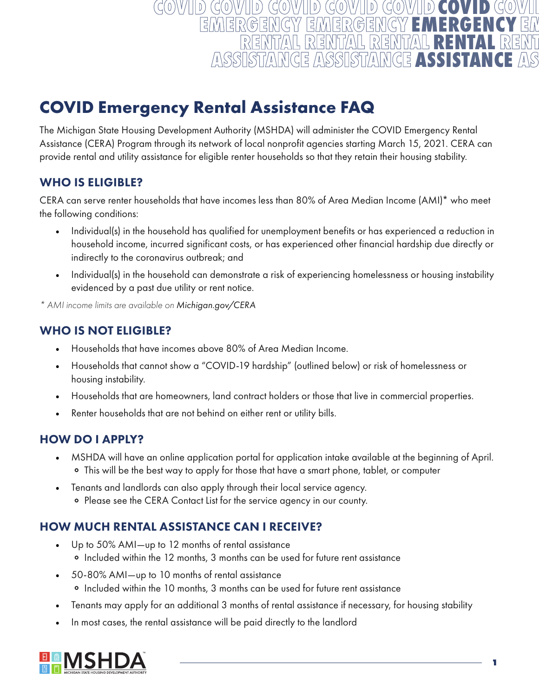#### **COVID**   $(\zeta(0)\vee/\|\|\mathfrak{d})$  $\theta$  $D$ **EMERGENCY**  EMER 5 Ę, **RENTAL ASSISTANCE**ASSIS NGE SSISTA [달

# **COVID Emergency Rental Assistance FAQ**

The Michigan State Housing Development Authority (MSHDA) will administer the COVID Emergency Rental Assistance (CERA) Program through its network of local nonprofit agencies starting March 15, 2021. CERA can provide rental and utility assistance for eligible renter households so that they retain their housing stability.

#### WHO IS ELIGIBLE?

CERA can serve renter households that have incomes less than 80% of Area Median Income (AMI)\* who meet the following conditions:

- Individual(s) in the household has qualified for unemployment benefits or has experienced a reduction in household income, incurred significant costs, or has experienced other financial hardship due directly or indirectly to the coronavirus outbreak; and
- Individual(s) in the household can demonstrate a risk of experiencing homelessness or housing instability evidenced by a past due utility or rent notice.

*\* AMI income limits are available on Michigan.gov/CERA*

#### WHO IS NOT ELIGIBLE?

- Households that have incomes above 80% of Area Median Income.
- Households that cannot show a "COVID-19 hardship" (outlined below) or risk of homelessness or housing instability.
- Households that are homeowners, land contract holders or those that live in commercial properties.
- Renter households that are not behind on either rent or utility bills.

### HOW DO I APPLY?

- MSHDA will have an online application portal for application intake available at the beginning of April. • This will be the best way to apply for those that have a smart phone, tablet, or computer
- Tenants and landlords can also apply through their local service agency. • Please see the CERA Contact List for the service agency in our county.

### HOW MUCH RENTAL ASSISTANCE CAN I RECEIVE?

- Up to 50% AMI—up to 12 months of rental assistance • Included within the 12 months, 3 months can be used for future rent assistance
- 50-80% AMI—up to 10 months of rental assistance • Included within the 10 months, 3 months can be used for future rent assistance
- Tenants may apply for an additional 3 months of rental assistance if necessary, for housing stability
- In most cases, the rental assistance will be paid directly to the landlord

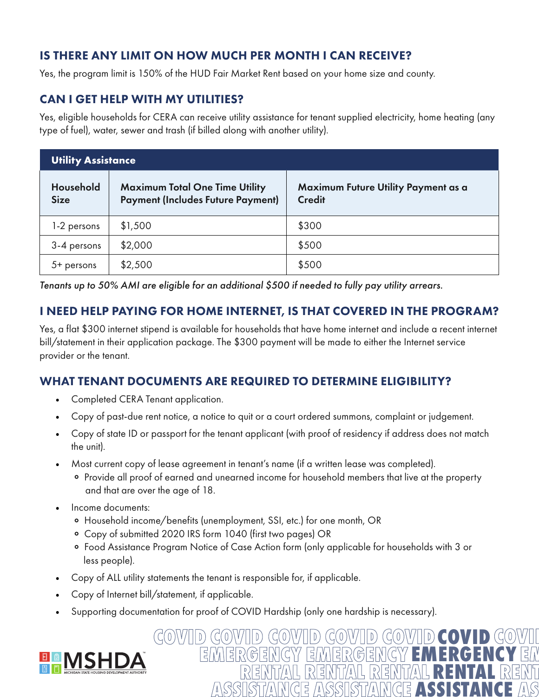### IS THERE ANY LIMIT ON HOW MUCH PER MONTH I CAN RECEIVE?

Yes, the program limit is 150% of the HUD Fair Market Rent based on your home size and county.

## CAN I GET HELP WITH MY UTILITIES?

Yes, eligible households for CERA can receive utility assistance for tenant supplied electricity, home heating (any type of fuel), water, sewer and trash (if billed along with another utility).

| <b>Utility Assistance</b> |                                                                                   |                                                      |  |
|---------------------------|-----------------------------------------------------------------------------------|------------------------------------------------------|--|
| Household<br><b>Size</b>  | <b>Maximum Total One Time Utility</b><br><b>Payment (Includes Future Payment)</b> | Maximum Future Utility Payment as a<br><b>Credit</b> |  |
| 1-2 persons               | \$1,500                                                                           | \$300                                                |  |
| 3-4 persons               | \$2,000                                                                           | \$500                                                |  |
| 5+ persons                | \$2,500                                                                           | \$500                                                |  |

*Tenants up to 50% AMI are eligible for an additional \$500 if needed to fully pay utility arrears.*

#### I NEED HELP PAYING FOR HOME INTERNET, IS THAT COVERED IN THE PROGRAM?

Yes, a flat \$300 internet stipend is available for households that have home internet and include a recent internet bill/statement in their application package. The \$300 payment will be made to either the Internet service provider or the tenant.

### WHAT TENANT DOCUMENTS ARE REQUIRED TO DETERMINE ELIGIBILITY?

- Completed CERA Tenant application.
- Copy of past-due rent notice, a notice to quit or a court ordered summons, complaint or judgement.
- Copy of state ID or passport for the tenant applicant (with proof of residency if address does not match the unit).
- Most current copy of lease agreement in tenant's name (if a written lease was completed).
	- Provide all proof of earned and unearned income for household members that live at the property and that are over the age of 18.
- Income documents:
	- Household income/benefits (unemployment, SSI, etc.) for one month, OR
	- Copy of submitted 2020 IRS form 1040 (first two pages) OR
	- Food Assistance Program Notice of Case Action form (only applicable for households with 3 or less people).

**COVID EMERGENCY** 

**RENTAL** 

E

**ASSISTANCE**

- Copy of ALL utility statements the tenant is responsible for, if applicable.
- Copy of Internet bill/statement, if applicable.
- Supporting documentation for proof of COVID Hardship (only one hardship is necessary).